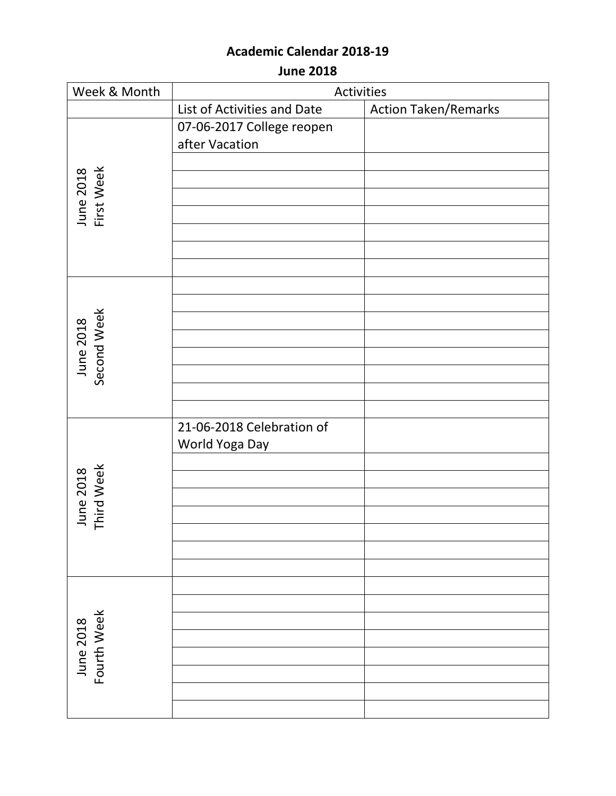**June 2018**

| Week & Month             | Activities                  |                             |
|--------------------------|-----------------------------|-----------------------------|
|                          | List of Activities and Date | <b>Action Taken/Remarks</b> |
|                          | 07-06-2017 College reopen   |                             |
|                          | after Vacation              |                             |
|                          |                             |                             |
|                          |                             |                             |
|                          |                             |                             |
| June 2018<br>First Week  |                             |                             |
|                          |                             |                             |
|                          |                             |                             |
|                          |                             |                             |
|                          |                             |                             |
|                          |                             |                             |
| June 2018<br>Second Week |                             |                             |
|                          |                             |                             |
|                          |                             |                             |
|                          |                             |                             |
|                          |                             |                             |
|                          |                             |                             |
|                          | 21-06-2018 Celebration of   |                             |
|                          | World Yoga Day              |                             |
|                          |                             |                             |
|                          |                             |                             |
|                          |                             |                             |
| June 2018<br>Third Week  |                             |                             |
|                          |                             |                             |
|                          |                             |                             |
|                          |                             |                             |
| Fourth Week<br>June 2018 |                             |                             |
|                          |                             |                             |
|                          |                             |                             |
|                          |                             |                             |
|                          |                             |                             |
|                          |                             |                             |
|                          |                             |                             |
|                          |                             |                             |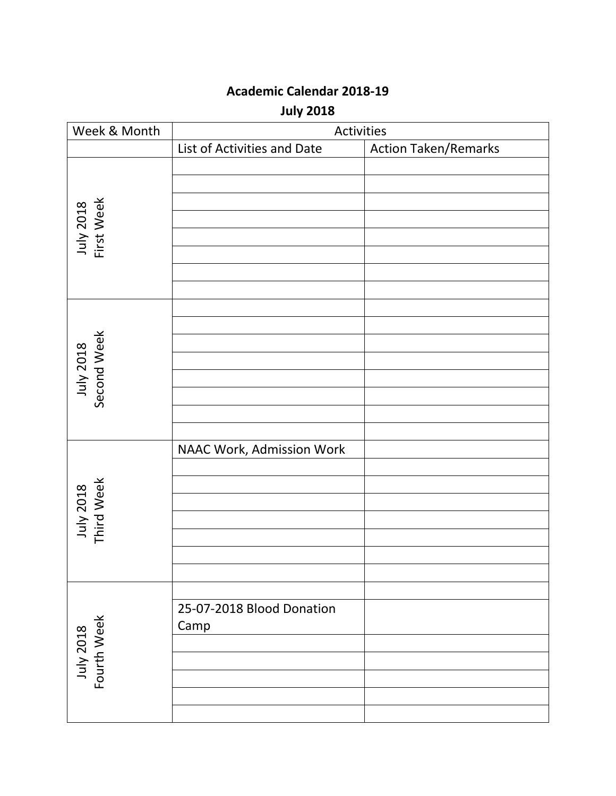**July 2018**

| Week & Month             | Activities                        |                             |
|--------------------------|-----------------------------------|-----------------------------|
|                          | List of Activities and Date       | <b>Action Taken/Remarks</b> |
| July 2018<br>First Week  |                                   |                             |
| July 2018<br>Second Week |                                   |                             |
| July 2018<br>Third Week  | NAAC Work, Admission Work         |                             |
| July 2018<br>Fourth Week | 25-07-2018 Blood Donation<br>Camp |                             |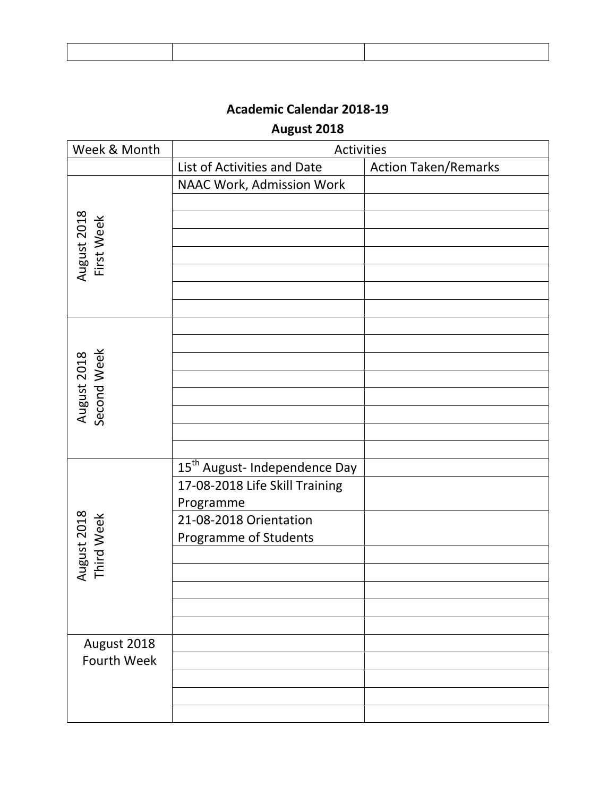## **August 2018**

| Week & Month               | Activities                                |                             |
|----------------------------|-------------------------------------------|-----------------------------|
|                            | List of Activities and Date               | <b>Action Taken/Remarks</b> |
|                            | NAAC Work, Admission Work                 |                             |
|                            |                                           |                             |
| August 2018                |                                           |                             |
| First Week                 |                                           |                             |
|                            |                                           |                             |
|                            |                                           |                             |
|                            |                                           |                             |
|                            |                                           |                             |
|                            |                                           |                             |
|                            |                                           |                             |
| August 2018<br>Second Week |                                           |                             |
|                            |                                           |                             |
|                            |                                           |                             |
|                            |                                           |                             |
|                            |                                           |                             |
|                            |                                           |                             |
|                            | 15 <sup>th</sup> August- Independence Day |                             |
|                            | 17-08-2018 Life Skill Training            |                             |
|                            | Programme                                 |                             |
|                            | 21-08-2018 Orientation                    |                             |
| August 2018<br>Third Week  | Programme of Students                     |                             |
|                            |                                           |                             |
|                            |                                           |                             |
|                            |                                           |                             |
|                            |                                           |                             |
|                            |                                           |                             |
| August 2018                |                                           |                             |
| <b>Fourth Week</b>         |                                           |                             |
|                            |                                           |                             |
|                            |                                           |                             |
|                            |                                           |                             |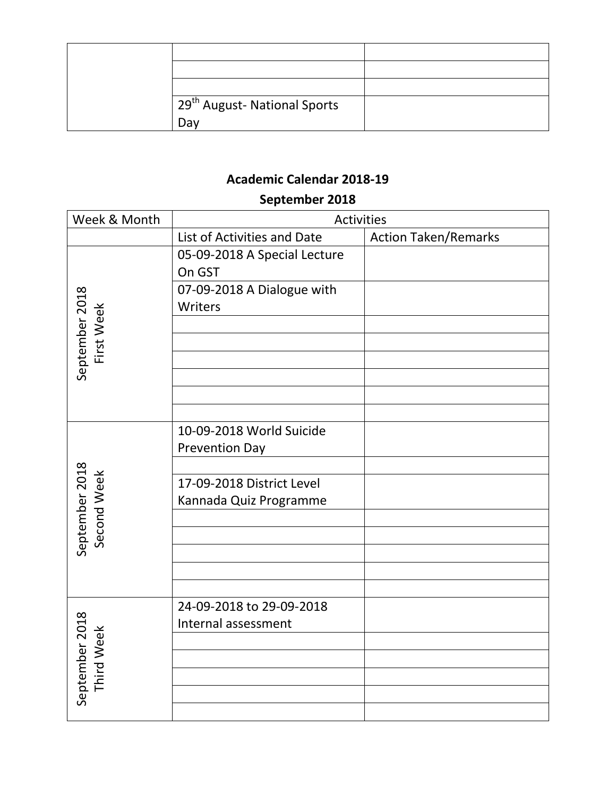| 29 <sup>th</sup> August- National Sports |  |
|------------------------------------------|--|
| Dav                                      |  |

#### **September 2018**

| Week & Month                 | Activities                             |                             |
|------------------------------|----------------------------------------|-----------------------------|
|                              | List of Activities and Date            | <b>Action Taken/Remarks</b> |
|                              | 05-09-2018 A Special Lecture<br>On GST |                             |
|                              | 07-09-2018 A Dialogue with             |                             |
|                              | Writers                                |                             |
|                              |                                        |                             |
| September 2018<br>First Week |                                        |                             |
|                              |                                        |                             |
|                              |                                        |                             |
|                              | 10-09-2018 World Suicide               |                             |
|                              | <b>Prevention Day</b>                  |                             |
|                              |                                        |                             |
|                              | 17-09-2018 District Level              |                             |
|                              | Kannada Quiz Programme                 |                             |
| Second Week                  |                                        |                             |
| September 2018               |                                        |                             |
|                              |                                        |                             |
|                              |                                        |                             |
| September 2018<br>Third Week | 24-09-2018 to 29-09-2018               |                             |
|                              | Internal assessment                    |                             |
|                              |                                        |                             |
|                              |                                        |                             |
|                              |                                        |                             |
|                              |                                        |                             |
|                              |                                        |                             |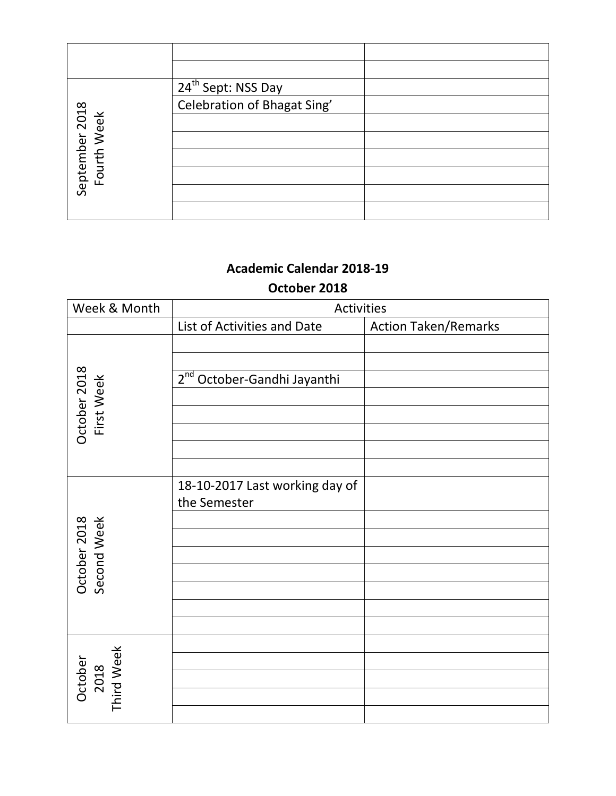|                               | 24 <sup>th</sup> Sept: NSS Day |  |
|-------------------------------|--------------------------------|--|
|                               | Celebration of Bhagat Sing'    |  |
|                               |                                |  |
| September 2018<br>Fourth Week |                                |  |
|                               |                                |  |
|                               |                                |  |
|                               |                                |  |
|                               |                                |  |

#### **October 2018**

| Week & Month                  | Activities                                     |                             |
|-------------------------------|------------------------------------------------|-----------------------------|
|                               | List of Activities and Date                    | <b>Action Taken/Remarks</b> |
| October 2018<br>First Week    | 2 <sup>nd</sup> October-Gandhi Jayanthi        |                             |
| October 2018<br>Second Week   | 18-10-2017 Last working day of<br>the Semester |                             |
| October<br>2018<br>Third Week |                                                |                             |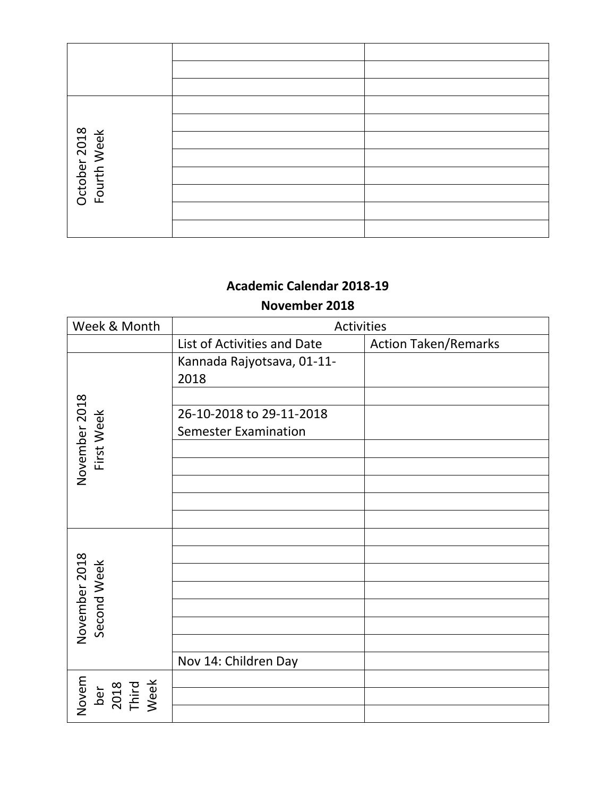| October 2018<br>Fourth Week |  |
|-----------------------------|--|
|                             |  |
|                             |  |
|                             |  |
|                             |  |

#### **November 2018**

| Week & Month                          | Activities                  |                             |
|---------------------------------------|-----------------------------|-----------------------------|
|                                       | List of Activities and Date | <b>Action Taken/Remarks</b> |
|                                       | Kannada Rajyotsava, 01-11-  |                             |
|                                       | 2018                        |                             |
|                                       |                             |                             |
|                                       | 26-10-2018 to 29-11-2018    |                             |
|                                       | <b>Semester Examination</b> |                             |
| November 2018<br>First Week           |                             |                             |
|                                       |                             |                             |
|                                       |                             |                             |
|                                       |                             |                             |
|                                       |                             |                             |
|                                       |                             |                             |
|                                       |                             |                             |
| November 2018<br>Second Week          |                             |                             |
|                                       |                             |                             |
|                                       |                             |                             |
|                                       |                             |                             |
|                                       |                             |                             |
|                                       | Nov 14: Children Day        |                             |
| Novem<br>ber<br>2018<br>Third<br>Week |                             |                             |
|                                       |                             |                             |
|                                       |                             |                             |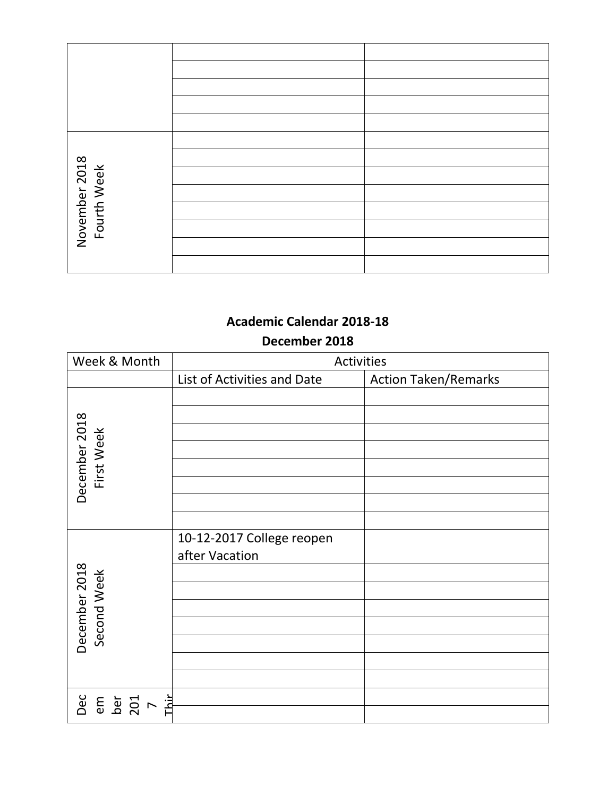| November 2018<br>Fourth Week |  |
|------------------------------|--|
|                              |  |
|                              |  |
|                              |  |
|                              |  |
|                              |  |

#### **December 2018**

| Week & Month                         | Activities                                  |                             |
|--------------------------------------|---------------------------------------------|-----------------------------|
|                                      | List of Activities and Date                 | <b>Action Taken/Remarks</b> |
| December 2018<br>First Week          |                                             |                             |
| December 2018<br>Second Week         | 10-12-2017 College reopen<br>after Vacation |                             |
| Dec<br>em<br><b>b</b><br>201<br>Thir |                                             |                             |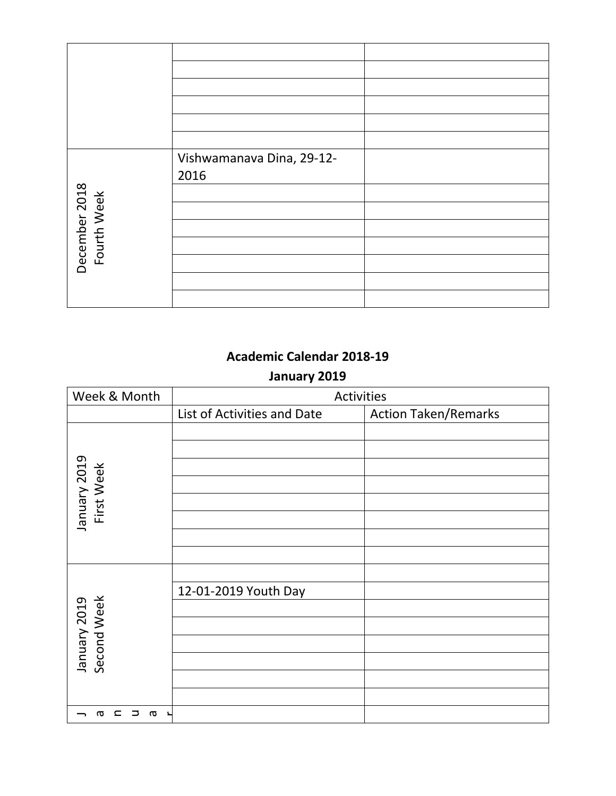|                              | Vishwamanava Dina, 29-12- |  |
|------------------------------|---------------------------|--|
|                              | 2016                      |  |
|                              |                           |  |
| December 2018<br>Fourth Week |                           |  |
|                              |                           |  |
|                              |                           |  |
|                              |                           |  |
|                              |                           |  |
|                              |                           |  |

#### **January 2019**

| Week & Month                              | Activities                  |                             |
|-------------------------------------------|-----------------------------|-----------------------------|
|                                           | List of Activities and Date | <b>Action Taken/Remarks</b> |
|                                           |                             |                             |
| January 2019<br>First Week                |                             |                             |
|                                           |                             |                             |
|                                           |                             |                             |
|                                           |                             |                             |
|                                           | 12-01-2019 Youth Day        |                             |
|                                           |                             |                             |
|                                           |                             |                             |
| January 2019<br>Second Week               |                             |                             |
|                                           |                             |                             |
|                                           |                             |                             |
|                                           |                             |                             |
| $\subset$<br>⊃<br>σ<br>᠊ᢐ<br>$\mathbf{r}$ |                             |                             |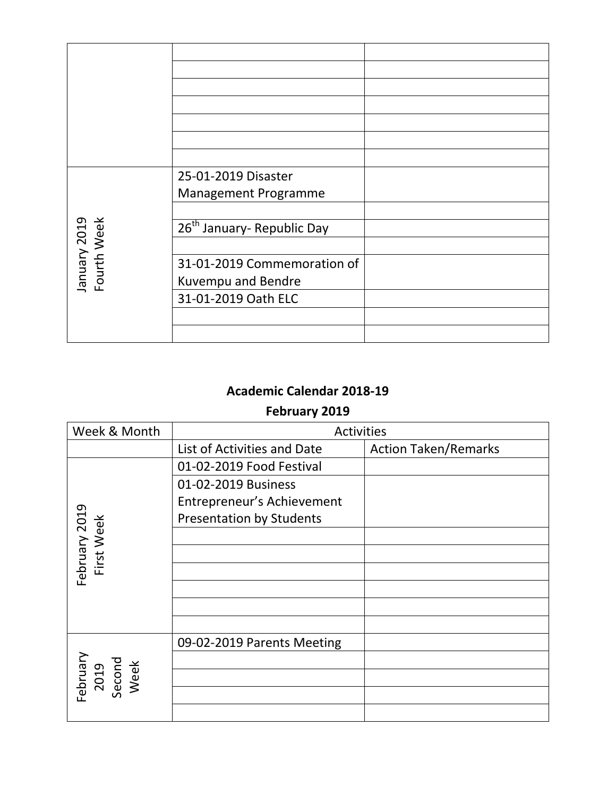|                             | 25-01-2019 Disaster                    |  |
|-----------------------------|----------------------------------------|--|
|                             | <b>Management Programme</b>            |  |
|                             |                                        |  |
|                             | 26 <sup>th</sup> January- Republic Day |  |
| January 2019<br>Fourth Week |                                        |  |
|                             | 31-01-2019 Commemoration of            |  |
|                             | Kuvempu and Bendre                     |  |
|                             | 31-01-2019 Oath ELC                    |  |
|                             |                                        |  |
|                             |                                        |  |

# **Academic Calendar 2018-19 February 2019**

| Week & Month                       | <b>Activities</b>               |                             |
|------------------------------------|---------------------------------|-----------------------------|
|                                    | List of Activities and Date     | <b>Action Taken/Remarks</b> |
|                                    | 01-02-2019 Food Festival        |                             |
|                                    | 01-02-2019 Business             |                             |
|                                    | Entrepreneur's Achievement      |                             |
|                                    | <b>Presentation by Students</b> |                             |
|                                    |                                 |                             |
| First Week                         |                                 |                             |
| February 2019                      |                                 |                             |
|                                    |                                 |                             |
|                                    |                                 |                             |
|                                    |                                 |                             |
|                                    | 09-02-2019 Parents Meeting      |                             |
| February<br>2019<br>Second<br>Week |                                 |                             |
|                                    |                                 |                             |
|                                    |                                 |                             |
|                                    |                                 |                             |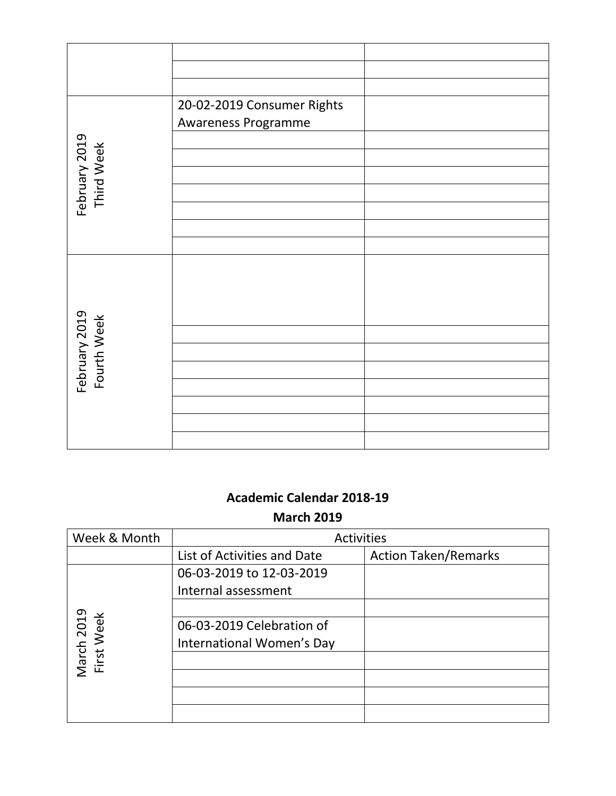|                              | 20-02-2019 Consumer Rights |  |
|------------------------------|----------------------------|--|
|                              | Awareness Programme        |  |
|                              |                            |  |
| February 2019<br>Third Week  |                            |  |
|                              |                            |  |
|                              |                            |  |
|                              |                            |  |
|                              |                            |  |
|                              |                            |  |
|                              |                            |  |
|                              |                            |  |
|                              |                            |  |
|                              |                            |  |
| February 2019<br>Fourth Week |                            |  |
|                              |                            |  |
|                              |                            |  |
|                              |                            |  |
|                              |                            |  |
|                              |                            |  |
|                              |                            |  |

**March 2019**

| Week & Month             | <b>Activities</b>           |                             |
|--------------------------|-----------------------------|-----------------------------|
|                          | List of Activities and Date | <b>Action Taken/Remarks</b> |
|                          | 06-03-2019 to 12-03-2019    |                             |
|                          | Internal assessment         |                             |
|                          |                             |                             |
|                          | 06-03-2019 Celebration of   |                             |
|                          | International Women's Day   |                             |
| March 2019<br>First Week |                             |                             |
|                          |                             |                             |
|                          |                             |                             |
|                          |                             |                             |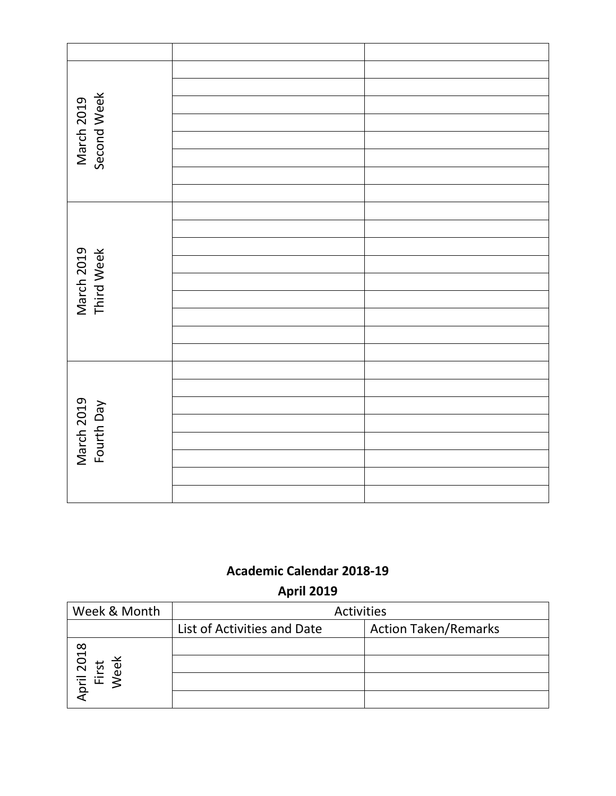| March 2019<br>Second Week |  |
|---------------------------|--|
|                           |  |
|                           |  |
|                           |  |
|                           |  |
|                           |  |
|                           |  |
|                           |  |
|                           |  |
| March 2019<br>Third Week  |  |
|                           |  |
|                           |  |
|                           |  |
|                           |  |
| March 2019<br>Fourth Day  |  |
|                           |  |
|                           |  |
|                           |  |
|                           |  |
|                           |  |
|                           |  |

**April 2019**

| Week & Month      | <b>Activities</b>           |                             |
|-------------------|-----------------------------|-----------------------------|
|                   | List of Activities and Date | <b>Action Taken/Remarks</b> |
|                   |                             |                             |
| 2018<br>rst<br>ee |                             |                             |
| pril              |                             |                             |
|                   |                             |                             |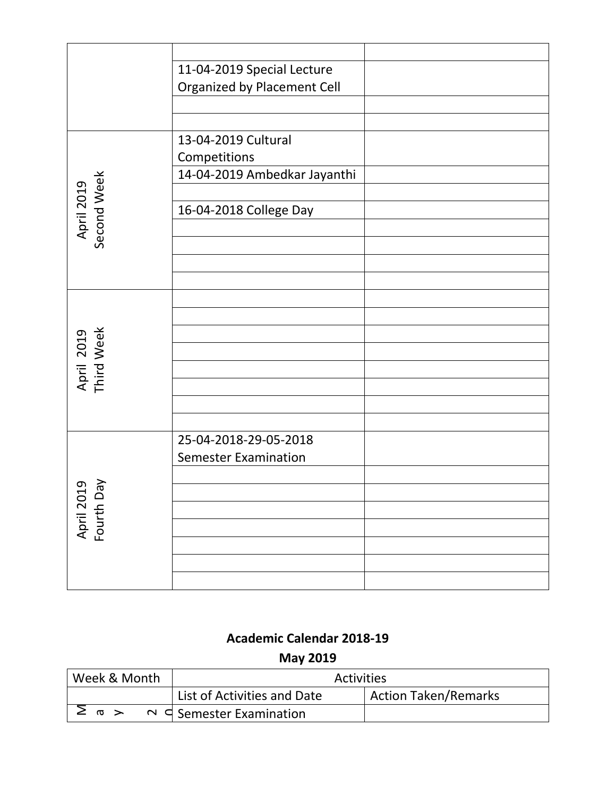|                           | 11-04-2019 Special Lecture   |  |
|---------------------------|------------------------------|--|
|                           | Organized by Placement Cell  |  |
|                           |                              |  |
|                           |                              |  |
|                           | 13-04-2019 Cultural          |  |
|                           | Competitions                 |  |
|                           | 14-04-2019 Ambedkar Jayanthi |  |
|                           |                              |  |
|                           | 16-04-2018 College Day       |  |
| April 2019<br>Second Week |                              |  |
|                           |                              |  |
|                           |                              |  |
|                           |                              |  |
|                           |                              |  |
|                           |                              |  |
| April 2019<br>Third Week  |                              |  |
|                           |                              |  |
|                           |                              |  |
|                           |                              |  |
|                           |                              |  |
|                           |                              |  |
|                           | 25-04-2018-29-05-2018        |  |
| April 2019<br>Fourth Day  | <b>Semester Examination</b>  |  |
|                           |                              |  |
|                           |                              |  |
|                           |                              |  |
|                           |                              |  |
|                           |                              |  |
|                           |                              |  |
|                           |                              |  |

# **May 2019**

| Week & Month    | <b>Activities</b>                  |                             |
|-----------------|------------------------------------|-----------------------------|
|                 | List of Activities and Date        | <b>Action Taken/Remarks</b> |
| $\geq$ m $\geq$ | $\sim$ $\leq$ Semester Examination |                             |